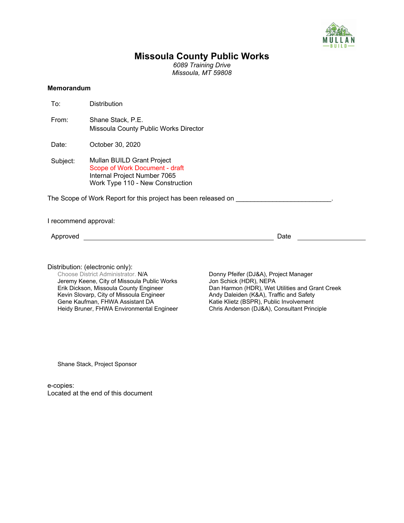

# **Missoula County Public Works**

*6089 Training Drive Missoula, MT 59808*

## **Memorandum**

<span id="page-0-0"></span>

| To:      | <b>Distribution</b>                                                                                                              |
|----------|----------------------------------------------------------------------------------------------------------------------------------|
| From:    | Shane Stack, P.E.<br>Missoula County Public Works Director                                                                       |
| Date:    | October 30, 2020                                                                                                                 |
| Subject: | Mullan BUILD Grant Project<br>Scope of Work Document - draft<br>Internal Project Number 7065<br>Work Type 110 - New Construction |
|          | The Scope of Work Report for this project has been released on                                                                   |

<span id="page-0-2"></span><span id="page-0-1"></span>I recommend approval:

Approved Date

Distribution: (electronic only):<br>Choose District Administrator. N/A Jeremy Keene, City of Missoula Public Works Erik Dickson, Missoula County Engineer Kevin Slovarp, City of Missoula Engineer Gene Kaufman, FHWA Assistant DA Heidy Bruner, FHWA Environmental Engineer

Donny Pfeifer (DJ&A), Project Manager Jon Schick (HDR), NEPA Dan Harmon (HDR), Wet Utilities and Grant Creek Andy Daleiden (K&A), Traffic and Safety Katie Klietz (BSPR), Public Involvement Chris Anderson (DJ&A), Consultant Principle

<span id="page-0-3"></span>Shane Stack, Project Sponsor

e-copies: Located at the end of this document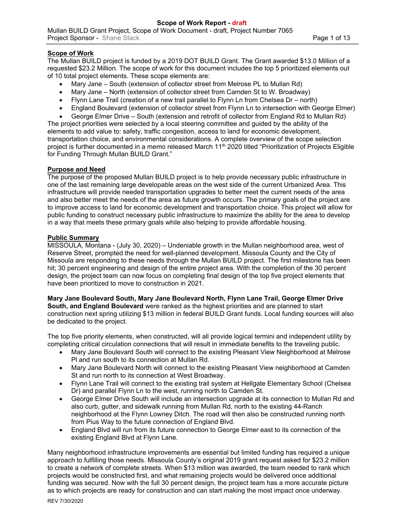# **Scope of Work**

The Mullan BUILD project is funded by a 2019 DOT BUILD Grant. The Grant awarded \$13.0 Million of a requested \$23.2 Million. The scope of work for this document includes the top 5 prioritized elements out of 10 total project elements. These scope elements are:

- Mary Jane South (extension of collector street from Melrose PL to Mullan Rd)
- Mary Jane North (extension of collector street from Camden St to W. Broadway)
- Flynn Lane Trail (creation of a new trail parallel to Flynn Ln from Chelsea Dr north)
- England Boulevard (extension of collector street from Flynn Ln to intersection with George Elmer)
- George Elmer Drive South (extension and retrofit of collector from England Rd to Mullan Rd)

The project priorities were selected by a local steering committee and guided by the ability of the elements to add value to: safety, traffic congestion, access to land for economic development, transportation choice, and environmental considerations. A complete overview of the scope selection project is further documented in a memo released March 11<sup>th</sup> 2020 titled "Prioritization of Projects Eligible for Funding Through Mullan BUILD Grant."

## **Purpose and Need**

The purpose of the proposed Mullan BUILD project is to help provide necessary public infrastructure in one of the last remaining large developable areas on the west side of the current Urbanized Area. This infrastructure will provide needed transportation upgrades to better meet the current needs of the area and also better meet the needs of the area as future growth occurs. The primary goals of the project are to improve access to land for economic development and transportation choice. This project will allow for public funding to construct necessary public infrastructure to maximize the ability for the area to develop in a way that meets these primary goals while also helping to provide affordable housing.

#### **Public Summary**

MISSOULA, Montana - (July 30, 2020) – Undeniable growth in the Mullan neighborhood area, west of Reserve Street, prompted the need for well-planned development. Missoula County and the City of Missoula are responding to these needs through the Mullan BUILD project. The first milestone has been hit; 30 percent engineering and design of the entire project area. With the completion of the 30 percent design, the project team can now focus on completing final design of the top five project elements that have been prioritized to move to construction in 2021.

**Mary Jane Boulevard South, Mary Jane Boulevard North, Flynn Lane Trail, George Elmer Drive South, and England Boulevard** were ranked as the highest priorities and are planned to start construction next spring utilizing \$13 million in federal BUILD Grant funds. Local funding sources will also be dedicated to the project.

The top five priority elements, when constructed, will all provide logical termini and independent utility by completing critical circulation connections that will result in immediate benefits to the traveling public.

- Mary Jane Boulevard South will connect to the existing Pleasant View Neighborhood at Melrose Pl and run south to its connection at Mullan Rd.
- Mary Jane Boulevard North will connect to the existing Pleasant View neighborhood at Camden St and run north to its connection at West Broadway.
- Flynn Lane Trail will connect to the existing trail system at Hellgate Elementary School (Chelsea Dr) and parallel Flynn Ln to the west, running north to Camden St.
- George Elmer Drive South will include an intersection upgrade at its connection to Mullan Rd and also curb, gutter, and sidewalk running from Mullan Rd, north to the existing 44-Ranch neighborhood at the Flynn Lowney Ditch. The road will then also be constructed running north from Pius Way to the future connection of England Blvd.
- England Blvd will run from its future connection to George Elmer east to its connection of the existing England Blvd at Flynn Lane.

Many neighborhood infrastructure improvements are essential but limited funding has required a unique approach to fulfilling those needs. Missoula County's original 2019 grant request asked for \$23.2 million to create a network of complete streets. When \$13 million was awarded, the team needed to rank which projects would be constructed first, and what remaining projects would be delivered once additional funding was secured. Now with the full 30 percent design, the project team has a more accurate picture as to which projects are ready for construction and can start making the most impact once underway.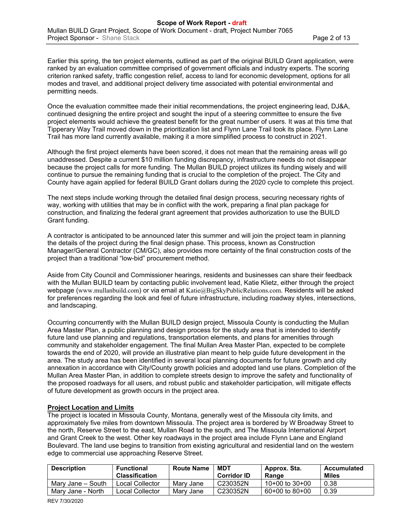Earlier this spring, the ten project elements, outlined as part of the original BUILD Grant application, were ranked by an evaluation committee comprised of government officials and industry experts. The scoring criterion ranked safety, traffic congestion relief, access to land for economic development, options for all modes and travel, and additional project delivery time associated with potential environmental and permitting needs.

Once the evaluation committee made their initial recommendations, the project engineering lead, DJ&A, continued designing the entire project and sought the input of a steering committee to ensure the five project elements would achieve the greatest benefit for the great number of users. It was at this time that Tipperary Way Trail moved down in the prioritization list and Flynn Lane Trail took its place. Flynn Lane Trail has more land currently available, making it a more simplified process to construct in 2021.

Although the first project elements have been scored, it does not mean that the remaining areas will go unaddressed. Despite a current \$10 million funding discrepancy, infrastructure needs do not disappear because the project calls for more funding. The Mullan BUILD project utilizes its funding wisely and will continue to pursue the remaining funding that is crucial to the completion of the project. The City and County have again applied for federal BUILD Grant dollars during the 2020 cycle to complete this project.

The next steps include working through the detailed final design process, securing necessary rights of way, working with utilities that may be in conflict with the work, preparing a final plan package for construction, and finalizing the federal grant agreement that provides authorization to use the BUILD Grant funding.

A contractor is anticipated to be announced later this summer and will join the project team in planning the details of the project during the final design phase. This process, known as Construction Manager/General Contractor (CM/GC), also provides more certainty of the final construction costs of the project than a traditional "low-bid" procurement method.

Aside from City Council and Commissioner hearings, residents and businesses can share their feedback with the Mullan BUILD team by contacting public involvement lead, Katie Klietz, either through the project webpage ([www.mullanbuild.com](http://www.mullanbuild.com/)) or via email at [Katie@BigSkyPublicRelations.com](mailto:Katie@bigskypublicrelations.com). Residents will be asked for preferences regarding the look and feel of future infrastructure, including roadway styles, intersections, and landscaping.

Occurring concurrently with the Mullan BUILD design project, Missoula County is conducting the Mullan Area Master Plan, a public planning and design process for the study area that is intended to identify future land use planning and regulations, transportation elements, and plans for amenities through community and stakeholder engagement. The final Mullan Area Master Plan, expected to be complete towards the end of 2020, will provide an illustrative plan meant to help guide future development in the area. The study area has been identified in several local planning documents for future growth and city annexation in accordance with City/County growth policies and adopted land use plans. Completion of the Mullan Area Master Plan, in addition to complete streets design to improve the safety and functionality of the proposed roadways for all users, and robust public and stakeholder participation, will mitigate effects of future development as growth occurs in the project area.

#### **Project Location and Limits**

The project is located in Missoula County, Montana, generally west of the Missoula city limits, and approximately five miles from downtown Missoula. The project area is bordered by W Broadway Street to the north, Reserve Street to the east, Mullan Road to the south, and The Missoula International Airport and Grant Creek to the west. Other key roadways in the project area include Flynn Lane and England Boulevard. The land use begins to transition from existing agricultural and residential land on the western edge to commercial use approaching Reserve Street.

| <b>Description</b> | Functional<br><b>Classification</b> | <b>Route Name</b> | MDT<br><b>Corridor ID</b> | ' Approx. Sta.<br>Range | Accumulated<br><b>Miles</b> |
|--------------------|-------------------------------------|-------------------|---------------------------|-------------------------|-----------------------------|
| Marv Jane – South  | Local Collector                     | Marv Jane         | C230352N                  | $10+00$ to $30+00$      | 0.38                        |
| Mary Jane - North  | Local Collector                     | Marv Jane         | C230352N                  | $60+00$ to $80+00$      | 0.39                        |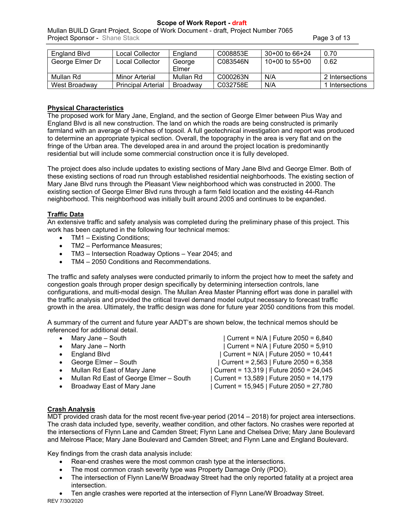**Scope of Work Report - draft**

[Mullan BUILD Grant Project](#page-0-0), [Scope of Work Document - draft,](#page-0-1) [Project Number 7065](#page-0-2) **Project Sponsor - [Shane Stack](#page-0-3) Page 3 of 13** 

| England Blvd    | Local Collector           | England         | C008853E | $30+00$ to $66+24$ | 0.70            |
|-----------------|---------------------------|-----------------|----------|--------------------|-----------------|
| George Elmer Dr | Local Collector           | George          | C083546N | $10+00$ to 55+00   | 0.62            |
|                 |                           | Elmer           |          |                    |                 |
| Mullan Rd       | Minor Arterial            | Mullan Rd       | C000263N | N/A                | 2 Intersections |
| West Broadwav   | <b>Principal Arterial</b> | <b>Broadway</b> | C032758E | N/A                | 1 Intersections |

## **Physical Characteristics**

The proposed work for Mary Jane, England, and the section of George Elmer between Pius Way and England Blvd is all new construction. The land on which the roads are being constructed is primarily farmland with an average of 9-inches of topsoil. A full geotechnical investigation and report was produced to determine an appropriate typical section. Overall, the topography in the area is very flat and on the fringe of the Urban area. The developed area in and around the project location is predominantly residential but will include some commercial construction once it is fully developed.

The project does also include updates to existing sections of Mary Jane Blvd and George Elmer. Both of these existing sections of road run through established residential neighborhoods. The existing section of Mary Jane Blvd runs through the Pleasant View neighborhood which was constructed in 2000. The existing section of George Elmer Blvd runs through a farm field location and the existing 44-Ranch neighborhood. This neighborhood was initially built around 2005 and continues to be expanded.

## **Traffic Data**

An extensive traffic and safety analysis was completed during the preliminary phase of this project. This work has been captured in the following four technical memos:

- TM1 Existing Conditions;
- TM2 Performance Measures;
- TM3 Intersection Roadway Options Year 2045; and
- TM4 2050 Conditions and Recommendations.

The traffic and safety analyses were conducted primarily to inform the project how to meet the safety and congestion goals through proper design specifically by determining intersection controls, lane configurations, and multi-modal design. The Mullan Area Master Planning effort was done in parallel with the traffic analysis and provided the critical travel demand model output necessary to forecast traffic growth in the area. Ultimately, the traffic design was done for future year 2050 conditions from this model.

A summary of the current and future year AADT's are shown below, the technical memos should be referenced for additional detail.

|           | Mary Jane - South                      | Current = N/A   Future 2050 = 6,840     |
|-----------|----------------------------------------|-----------------------------------------|
| $\bullet$ | Mary Jane - North                      | Current = N/A   Future 2050 = 5,910     |
| $\bullet$ | <b>England Blvd</b>                    | Current = N/A   Future 2050 = 10,441    |
| $\bullet$ | George Elmer - South                   | Current = 2,563   Future 2050 = 6,358   |
| $\bullet$ | Mullan Rd East of Mary Jane            | Current = 13,319   Future 2050 = 24,045 |
| $\bullet$ | Mullan Rd East of George Elmer - South | Current = 13,589   Future 2050 = 14,179 |
| $\bullet$ | Broadway East of Mary Jane             | Current = 15,945   Future 2050 = 27,780 |

## **Crash Analysis**

MDT provided crash data for the most recent five-year period (2014 – 2018) for project area intersections. The crash data included type, severity, weather condition, and other factors. No crashes were reported at the intersections of Flynn Lane and Camden Street; Flynn Lane and Chelsea Drive; Mary Jane Boulevard and Melrose Place; Mary Jane Boulevard and Camden Street; and Flynn Lane and England Boulevard.

Key findings from the crash data analysis include:

- Rear-end crashes were the most common crash type at the intersections.
- The most common crash severity type was Property Damage Only (PDO).
- The intersection of Flynn Lane/W Broadway Street had the only reported fatality at a project area intersection.
- REV 7/30/2020 Ten angle crashes were reported at the intersection of Flynn Lane/W Broadway Street.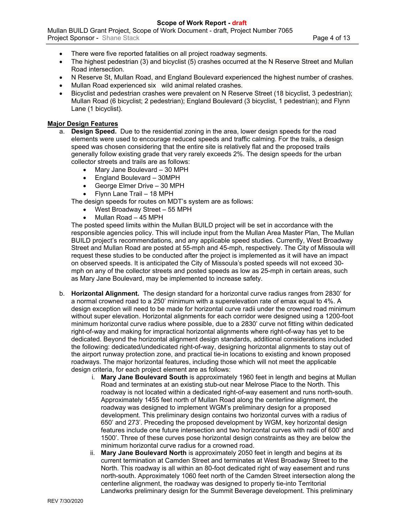- There were five reported fatalities on all project roadway segments.
- The highest pedestrian (3) and bicyclist (5) crashes occurred at the N Reserve Street and Mullan Road intersection.
- N Reserve St, Mullan Road, and England Boulevard experienced the highest number of crashes.
- Mullan Road experienced six wild animal related crashes.
- Bicyclist and pedestrian crashes were prevalent on N Reserve Street (18 bicyclist, 3 pedestrian); Mullan Road (6 bicyclist; 2 pedestrian); England Boulevard (3 bicyclist, 1 pedestrian); and Flynn Lane (1 bicyclist).

#### **Major Design Features**

- a. **Design Speed.** Due to the residential zoning in the area, lower design speeds for the road elements were used to encourage reduced speeds and traffic calming. For the trails, a design speed was chosen considering that the entire site is relatively flat and the proposed trails generally follow existing grade that very rarely exceeds 2%. The design speeds for the urban collector streets and trails are as follows:
	- Mary Jane Boulevard 30 MPH
	- England Boulevard 30MPH
	- George Elmer Drive 30 MPH
	- Flynn Lane Trail 18 MPH

The design speeds for routes on MDT's system are as follows:

- West Broadway Street 55 MPH
- Mullan Road 45 MPH

The posted speed limits within the Mullan BUILD project will be set in accordance with the responsible agencies policy. This will include input from the Mullan Area Master Plan, The Mullan BUILD project's recommendations, and any applicable speed studies. Currently, West Broadway Street and Mullan Road are posted at 55-mph and 45-mph, respectively. The City of Missoula will request these studies to be conducted after the project is implemented as it will have an impact on observed speeds. It is anticipated the City of Missoula's posted speeds will not exceed 30 mph on any of the collector streets and posted speeds as low as 25-mph in certain areas, such as Mary Jane Boulevard, may be implemented to increase safety.

- b. **Horizontal Alignment.** The design standard for a horizontal curve radius ranges from 2830' for a normal crowned road to a 250' minimum with a superelevation rate of emax equal to 4%. A design exception will need to be made for horizontal curve radii under the crowned road minimum without super elevation. Horizontal alignments for each corridor were designed using a 1200-foot minimum horizontal curve radius where possible, due to a 2830' curve not fitting within dedicated right-of-way and making for impractical horizontal alignments where right-of-way has yet to be dedicated. Beyond the horizontal alignment design standards, additional considerations included the following: dedicated/undedicated right-of-way, designing horizontal alignments to stay out of the airport runway protection zone, and practical tie-in locations to existing and known proposed roadways. The major horizontal features, including those which will not meet the applicable design criteria, for each project element are as follows:
	- i. **Mary Jane Boulevard South** is approximately 1960 feet in length and begins at Mullan Road and terminates at an existing stub-out near Melrose Place to the North. This roadway is not located within a dedicated right-of-way easement and runs north-south. Approximately 1455 feet north of Mullan Road along the centerline alignment, the roadway was designed to implement WGM's preliminary design for a proposed development. This preliminary design contains two horizontal curves with a radius of 650' and 273'. Preceding the proposed development by WGM, key horizontal design features include one future intersection and two horizontal curves with radii of 600' and 1500'. Three of these curves pose horizontal design constraints as they are below the minimum horizontal curve radius for a crowned road.
	- ii. **Mary Jane Boulevard North** is approximately 2050 feet in length and begins at its current termination at Camden Street and terminates at West Broadway Street to the North. This roadway is all within an 80-foot dedicated right of way easement and runs north-south. Approximately 1060 feet north of the Camden Street intersection along the centerline alignment, the roadway was designed to properly tie-into Territorial Landworks preliminary design for the Summit Beverage development. This preliminary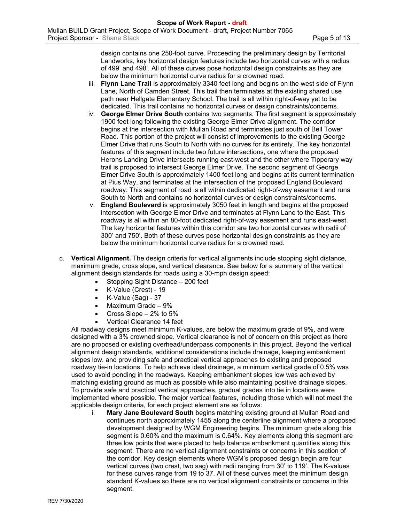design contains one 250-foot curve. Proceeding the preliminary design by Territorial Landworks, key horizontal design features include two horizontal curves with a radius of 499' and 498'. All of these curves pose horizontal design constraints as they are below the minimum horizontal curve radius for a crowned road.

- iii. **Flynn Lane Trail** is approximately 3340 feet long and begins on the west side of Flynn Lane, North of Camden Street. This trail then terminates at the existing shared use path near Hellgate Elementary School. The trail is all within right-of-way yet to be dedicated. This trail contains no horizontal curves or design constraints/concerns.
- iv. **George Elmer Drive South** contains two segments. The first segment is approximately 1900 feet long following the existing George Elmer Drive alignment. The corridor begins at the intersection with Mullan Road and terminates just south of Bell Tower Road. This portion of the project will consist of improvements to the existing George Elmer Drive that runs South to North with no curves for its entirety. The key horizontal features of this segment include two future intersections, one where the proposed Herons Landing Drive intersects running east-west and the other where Tipperary way trail is proposed to intersect George Elmer Drive. The second segment of George Elmer Drive South is approximately 1400 feet long and begins at its current termination at Pius Way, and terminates at the intersection of the proposed England Boulevard roadway. This segment of road is all within dedicated right-of-way easement and runs South to North and contains no horizontal curves or design constraints/concerns.
- v. **England Boulevard** is approximately 3050 feet in length and begins at the proposed intersection with George Elmer Drive and terminates at Flynn Lane to the East. This roadway is all within an 80-foot dedicated right-of-way easement and runs east-west. The key horizontal features within this corridor are two horizontal curves with radii of 300' and 750'. Both of these curves pose horizontal design constraints as they are below the minimum horizontal curve radius for a crowned road.
- c. **Vertical Alignment.** The design criteria for vertical alignments include stopping sight distance, maximum grade, cross slope, and vertical clearance. See below for a summary of the vertical alignment design standards for roads using a 30-mph design speed:
	- Stopping Sight Distance 200 feet
	- K-Value (Crest) 19
	- $\bullet$  K-Value (Sag) 37
	- Maximum Grade 9%
	- Cross Slope 2% to 5%
	- Vertical Clearance 14 feet

All roadway designs meet minimum K-values, are below the maximum grade of 9%, and were designed with a 3% crowned slope. Vertical clearance is not of concern on this project as there are no proposed or existing overhead/underpass components in this project. Beyond the vertical alignment design standards, additional considerations include drainage, keeping embankment slopes low, and providing safe and practical vertical approaches to existing and proposed roadway tie-in locations. To help achieve ideal drainage, a minimum vertical grade of 0.5% was used to avoid ponding in the roadways. Keeping embankment slopes low was achieved by matching existing ground as much as possible while also maintaining positive drainage slopes. To provide safe and practical vertical approaches, gradual grades into tie in locations were implemented where possible. The major vertical features, including those which will not meet the applicable design criteria, for each project element are as follows:

i. **Mary Jane Boulevard South** begins matching existing ground at Mullan Road and continues north approximately 1455 along the centerline alignment where a proposed development designed by WGM Engineering begins. The minimum grade along this segment is 0.60% and the maximum is 0.64%. Key elements along this segment are three low points that were placed to help balance embankment quantities along this segment. There are no vertical alignment constraints or concerns in this section of the corridor. Key design elements where WGM's proposed design begin are four vertical curves (two crest, two sag) with radii ranging from 30' to 119'. The K-values for these curves range from 19 to 37. All of these curves meet the minimum design standard K-values so there are no vertical alignment constraints or concerns in this segment.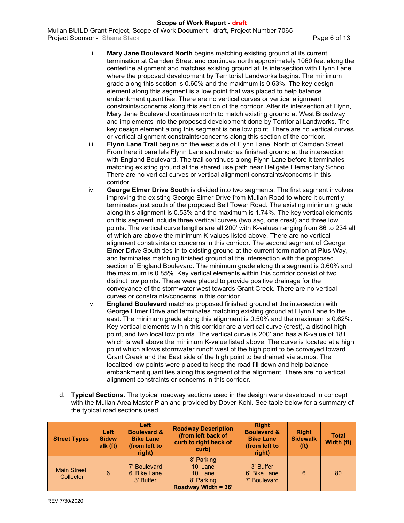#### **Scope of Work Report - draft** [Mullan BUILD Grant Project](#page-0-0), [Scope of Work Document - draft,](#page-0-1) [Project Number 7065](#page-0-2) **Project Sponsor - [Shane Stack](#page-0-3) Page 6 of 13**

- ii. **Mary Jane Boulevard North** begins matching existing ground at its current termination at Camden Street and continues north approximately 1060 feet along the centerline alignment and matches existing ground at its intersection with Flynn Lane where the proposed development by Territorial Landworks begins. The minimum grade along this section is 0.60% and the maximum is 0.63%. The key design element along this segment is a low point that was placed to help balance embankment quantities. There are no vertical curves or vertical alignment constraints/concerns along this section of the corridor. After its intersection at Flynn, Mary Jane Boulevard continues north to match existing ground at West Broadway and implements into the proposed development done by Territorial Landworks. The key design element along this segment is one low point. There are no vertical curves or vertical alignment constraints/concerns along this section of the corridor.
- iii. **Flynn Lane Trail** begins on the west side of Flynn Lane, North of Camden Street. From here it parallels Flynn Lane and matches finished ground at the intersection with England Boulevard. The trail continues along Flynn Lane before it terminates matching existing ground at the shared use path near Hellgate Elementary School. There are no vertical curves or vertical alignment constraints/concerns in this corridor.
- iv. **George Elmer Drive South** is divided into two segments. The first segment involves improving the existing George Elmer Drive from Mullan Road to where it currently terminates just south of the proposed Bell Tower Road. The existing minimum grade along this alignment is 0.53% and the maximum is 1.74%. The key vertical elements on this segment include three vertical curves (two sag, one crest) and three low points. The vertical curve lengths are all 200' with K-values ranging from 86 to 234 all of which are above the minimum K-values listed above. There are no vertical alignment constraints or concerns in this corridor. The second segment of George Elmer Drive South ties-in to existing ground at the current termination at Pius Way, and terminates matching finished ground at the intersection with the proposed section of England Boulevard. The minimum grade along this segment is 0.60% and the maximum is 0.85%. Key vertical elements within this corridor consist of two distinct low points. These were placed to provide positive drainage for the conveyance of the stormwater west towards Grant Creek. There are no vertical curves or constraints/concerns in this corridor.
- v. **England Boulevard** matches proposed finished ground at the intersection with George Elmer Drive and terminates matching existing ground at Flynn Lane to the east. The minimum grade along this alignment is 0.50% and the maximum is 0.62%. Key vertical elements within this corridor are a vertical curve (crest), a distinct high point, and two local low points. The vertical curve is 200' and has a K-value of 181 which is well above the minimum K-value listed above. The curve is located at a high point which allows stormwater runoff west of the high point to be conveyed toward Grant Creek and the East side of the high point to be drained via sumps. The localized low points were placed to keep the road fill down and help balance embankment quantities along this segment of the alignment. There are no vertical alignment constraints or concerns in this corridor.
- d. **Typical Sections.** The typical roadway sections used in the design were developed in concept with the Mullan Area Master Plan and provided by Dover-Kohl. See table below for a summary of the typical road sections used.

| <b>Street Types</b>             | Left<br><b>Sidew</b><br>alk (ft) | Left<br><b>Boulevard &amp;</b><br><b>Bike Lane</b><br>(from left to<br>right) | <b>Roadway Description</b><br>(from left back of<br>curb to right back of<br>curb) | <b>Right</b><br><b>Boulevard &amp;</b><br><b>Bike Lane</b><br>(from left to<br>right) | <b>Right</b><br><b>Sidewalk</b><br>(f <sup>t</sup> ) | <b>Total</b><br>Width (ft) |
|---------------------------------|----------------------------------|-------------------------------------------------------------------------------|------------------------------------------------------------------------------------|---------------------------------------------------------------------------------------|------------------------------------------------------|----------------------------|
| <b>Main Street</b><br>Collector | 6                                | 7' Boulevard<br>6' Bike Lane<br>3' Buffer                                     | 8' Parking<br>$10'$ Lane<br>$10'$ Lane<br>8' Parking<br>Roadway Width = 36'        | 3' Buffer<br>6' Bike Lane<br>7' Boulevard                                             | 6                                                    | 80                         |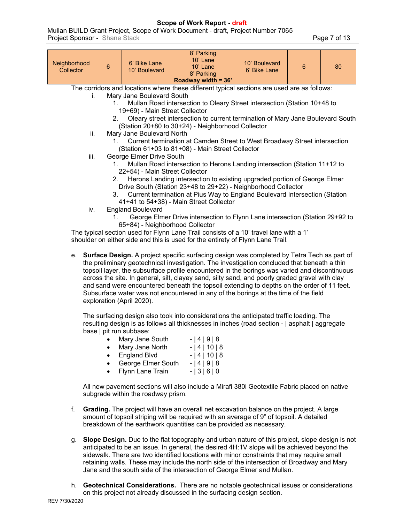# **Scope of Work Report - draft**

[Mullan BUILD Grant Project](#page-0-0), [Scope of Work Document - draft,](#page-0-1) [Project Number 7065](#page-0-2) **Project Sponsor - [Shane Stack](#page-0-3) Page 7 of 13** 

| Neighborhood<br>Collector | $\overline{6}$                                                                              | 6' Bike Lane<br>10' Boulevard   | 8' Parking<br>$10'$ Lane<br>$10'$ Lane<br>8' Parking<br>Roadway width = 36'    | 10' Boulevard<br>6' Bike Lane | 6 | 80 |  |  |  |
|---------------------------|---------------------------------------------------------------------------------------------|---------------------------------|--------------------------------------------------------------------------------|-------------------------------|---|----|--|--|--|
|                           | The corridors and locations where these different typical sections are used are as follows: |                                 |                                                                                |                               |   |    |  |  |  |
| L.                        |                                                                                             | Mary Jane Boulevard South       |                                                                                |                               |   |    |  |  |  |
|                           |                                                                                             |                                 | Mullan Road intersection to Oleary Street intersection (Station 10+48 to       |                               |   |    |  |  |  |
|                           |                                                                                             | 19+69) - Main Street Collector  |                                                                                |                               |   |    |  |  |  |
|                           | 2.                                                                                          |                                 | Oleary street intersection to current termination of Mary Jane Boulevard South |                               |   |    |  |  |  |
| ii.                       |                                                                                             | Mary Jane Boulevard North       | (Station 20+80 to 30+24) - Neighborhood Collector                              |                               |   |    |  |  |  |
|                           |                                                                                             |                                 | Current termination at Camden Street to West Broadway Street intersection      |                               |   |    |  |  |  |
|                           |                                                                                             |                                 | (Station 61+03 to 81+08) - Main Street Collector                               |                               |   |    |  |  |  |
|                           | George Elmer Drive South<br>iii.                                                            |                                 |                                                                                |                               |   |    |  |  |  |
|                           | Mullan Road intersection to Herons Landing intersection (Station 11+12 to<br>1.             |                                 |                                                                                |                               |   |    |  |  |  |
|                           | 22+54) - Main Street Collector                                                              |                                 |                                                                                |                               |   |    |  |  |  |
|                           | 2.                                                                                          |                                 | Herons Landing intersection to existing upgraded portion of George Elmer       |                               |   |    |  |  |  |
|                           | Drive South (Station 23+48 to 29+22) - Neighborhood Collector                               |                                 |                                                                                |                               |   |    |  |  |  |
|                           | Current termination at Pius Way to England Boulevard Intersection (Station<br>3.            |                                 |                                                                                |                               |   |    |  |  |  |
|                           |                                                                                             |                                 | 41+41 to 54+38) - Main Street Collector                                        |                               |   |    |  |  |  |
| iv.                       | 1.                                                                                          | <b>England Boulevard</b>        | George Elmer Drive intersection to Flynn Lane intersection (Station 29+92 to   |                               |   |    |  |  |  |
|                           |                                                                                             | 65+84) - Neighborhood Collector |                                                                                |                               |   |    |  |  |  |
|                           | The typical section used for Flynn Lane Trail consists of a 10' travel lane with a 1'       |                                 |                                                                                |                               |   |    |  |  |  |

shoulder on either side and this is used for the entirety of Flynn Lane Trail.

e. **Surface Design.** A project specific surfacing design was completed by Tetra Tech as part of the preliminary geotechnical investigation. The investigation concluded that beneath a thin topsoil layer, the subsurface profile encountered in the borings was varied and discontinuous across the site. In general, silt, clayey sand, silty sand, and poorly graded gravel with clay and sand were encountered beneath the topsoil extending to depths on the order of 11 feet. Subsurface water was not encountered in any of the borings at the time of the field exploration (April 2020).

The surfacing design also took into considerations the anticipated traffic loading. The resulting design is as follows all thicknesses in inches (road section - | asphalt | aggregate base | pit run subbase:

|           | Mary Jane South     | $-141918$  |
|-----------|---------------------|------------|
|           | Mary Jane North     | $- 4 10 8$ |
| $\bullet$ | <b>England Blvd</b> | $- 4 10 8$ |
| $\bullet$ | George Elmer South  | $-141918$  |

• Flynn Lane Train - | 3 | 6 | 0

All new pavement sections will also include a Mirafi 380i Geotextile Fabric placed on native subgrade within the roadway prism.

- f. **Grading.** The project will have an overall net excavation balance on the project. A large amount of topsoil striping will be required with an average of 9" of topsoil. A detailed breakdown of the earthwork quantities can be provided as necessary.
- g. **Slope Design.** Due to the flat topography and urban nature of this project, slope design is not anticipated to be an issue. In general, the desired 4H:1V slope will be achieved beyond the sidewalk. There are two identified locations with minor constraints that may require small retaining walls. These may include the north side of the intersection of Broadway and Mary Jane and the south side of the intersection of George Elmer and Mullan.
- h. **Geotechnical Considerations.** There are no notable geotechnical issues or considerations on this project not already discussed in the surfacing design section.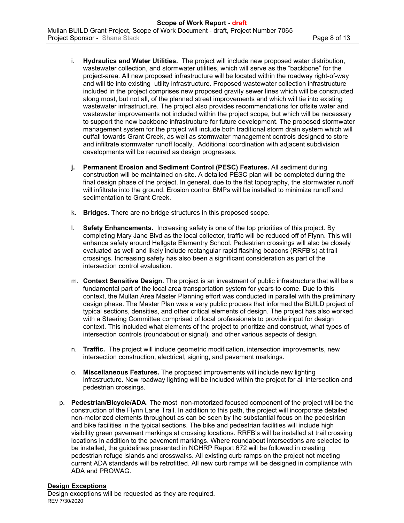- i. **Hydraulics and Water Utilities.** The project will include new proposed water distribution, wastewater collection, and stormwater utilities, which will serve as the "backbone" for the project-area. All new proposed infrastructure will be located within the roadway right-of-way and will tie into existing utility infrastructure. Proposed wastewater collection infrastructure included in the project comprises new proposed gravity sewer lines which will be constructed along most, but not all, of the planned street improvements and which will tie into existing wastewater infrastructure. The project also provides recommendations for offsite water and wastewater improvements not included within the project scope, but which will be necessary to support the new backbone infrastructure for future development. The proposed stormwater management system for the project will include both traditional storm drain system which will outfall towards Grant Creek, as well as stormwater management controls designed to store and infiltrate stormwater runoff locally. Additional coordination with adjacent subdivision developments will be required as design progresses.
- **j. Permanent Erosion and Sediment Control (PESC) Features.** All sediment during construction will be maintained on-site. A detailed PESC plan will be completed during the final design phase of the project. In general, due to the flat topography, the stormwater runoff will infiltrate into the ground. Erosion control BMPs will be installed to minimize runoff and sedimentation to Grant Creek.
- k. **Bridges.** There are no bridge structures in this proposed scope.
- l. **Safety Enhancements.** Increasing safety is one of the top priorities of this project. By completing Mary Jane Blvd as the local collector, traffic will be reduced off of Flynn. This will enhance safety around Hellgate Elementry School. Pedestrian crossings will also be closely evaluated as well and likely include rectangular rapid flashing beacons (RRFB's) at trail crossings. Increasing safety has also been a significant consideration as part of the intersection control evaluation.
- m. **Context Sensitive Design.** The project is an investment of public infrastructure that will be a fundamental part of the local area transportation system for years to come. Due to this context, the Mullan Area Master Planning effort was conducted in parallel with the preliminary design phase. The Master Plan was a very public process that informed the BUILD project of typical sections, densities, and other critical elements of design. The project has also worked with a Steering Committee comprised of local professionals to provide input for design context. This included what elements of the project to prioritize and construct, what types of intersection controls (roundabout or signal), and other various aspects of design.
- n. **Traffic.** The project will include geometric modification, intersection improvements, new intersection construction, electrical, signing, and pavement markings.
- o. **Miscellaneous Features.** The proposed improvements will include new lighting infrastructure. New roadway lighting will be included within the project for all intersection and pedestrian crossings.
- p. **Pedestrian/Bicycle/ADA**. The most non-motorized focused component of the project will be the construction of the Flynn Lane Trail. In addition to this path, the project will incorporate detailed non-motorized elements throughout as can be seen by the substantial focus on the pedestrian and bike facilities in the typical sections. The bike and pedestrian facilities will include high visibility green pavement markings at crossing locations. RRFB's will be installed at trail crossing locations in addition to the pavement markings. Where roundabout intersections are selected to be installed, the guidelines presented in NCHRP Report 672 will be followed in creating pedestrian refuge islands and crosswalks. All existing curb ramps on the project not meeting current ADA standards will be retrofitted. All new curb ramps will be designed in compliance with ADA and PROWAG.

#### **Design Exceptions**

REV 7/30/2020 Design exceptions will be requested as they are required.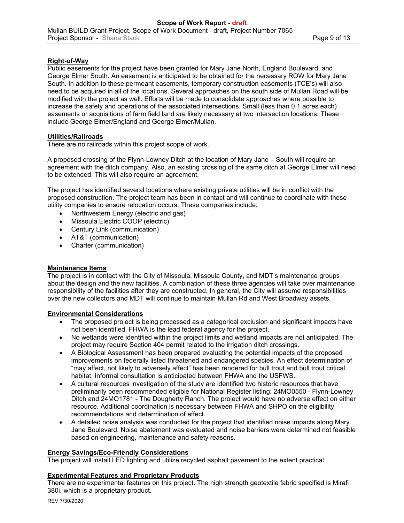## **Right-of-Way**

Public easements for the project have been granted for Mary Jane North, England Boulevard, and George Elmer South. An easement is anticipated to be obtained for the necessary ROW for Mary Jane South. In addition to these permeant easements, temporary construction easements (TCE's) will also need to be acquired in all of the locations. Several approaches on the south side of Mullan Road will be modified with the project as well. Efforts will be made to consolidate approaches where possible to increase the safety and operations of the associated intersections. Small (less than 0.1 acres each) easements or acquisitions of farm field land are likely necessary at two intersection locations. These include George Elmer/England and George Elmer/Mullan.

## **Utilities/Railroads**

There are no railroads within this project scope of work.

A proposed crossing of the Flynn-Lowney Ditch at the location of Mary Jane – South will require an agreement with the ditch company. Also, an existing crossing of the same ditch at George Elmer will need to be extended. This will also require an agreement.

The project has identified several locations where existing private utilities will be in conflict with the proposed construction. The project team has been in contact and will continue to coordinate with these utility companies to ensure relocation occurs. These companies include:

- Northwestern Energy (electric and gas)
- Missoula Electric COOP (electric)
- Century Link (communication)
- AT&T (communication)
- Charter (communication)

## **Maintenance Items**

The project is in contact with the City of Missoula, Missoula County, and MDT's maintenance groups about the design and the new facilities. A combination of these three agencies will take over maintenance responsibility of the facilities after they are constructed. In general, the City will assume responsibilities over the new collectors and MDT will continue to maintain Mullan Rd and West Broadway assets.

## **Environmental Considerations**

- The proposed project is being processed as a categorical exclusion and significant impacts have not been identified. FHWA is the lead federal agency for the project.
- No wetlands were identified within the project limits and wetland impacts are not anticipated. The project may require Section 404 permit related to the irrigation ditch crossings.
- A Biological Assessment has been prepared evaluating the potential impacts of the proposed improvements on federally listed threatened and endangered species. An effect determination of "may affect, not likely to adversely affect" has been rendered for bull trout and bull trout critical habitat. Informal consultation is anticipated between FHWA and the USFWS.
- A cultural resources investigation of the study are identified two historic resources that have preliminarily been recommended eligible for National Register listing: 24MO0550 - Flynn-Lowney Ditch and 24MO1781 - The Dougherty Ranch. The project would have no adverse effect on either resource. Additional coordination is necessary between FHWA and SHPO on the eligibility recommendations and determination of effect.
- A detailed noise analysis was conducted for the project that identified noise impacts along Mary Jane Boulevard. Noise abatement was evaluated and noise barriers were determined not feasible based on engineering, maintenance and safety reasons.

## **Energy Savings/Eco-Friendly Considerations**

The project will install LED lighting and utilize recycled asphalt pavement to the extent practical.

## **Experimental Features and Proprietary Products**

There are no experimental features on this project. The high strength geotextile fabric specified is Mirafi 380i, which is a proprietary product.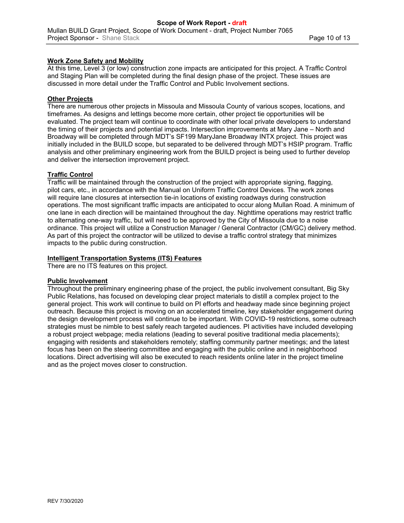# **Work Zone Safety and Mobility**

At this time, Level 3 (or low) construction zone impacts are anticipated for this project. A Traffic Control and Staging Plan will be completed during the final design phase of the project. These issues are discussed in more detail under the Traffic Control and Public Involvement sections.

## **Other Projects**

There are numerous other projects in Missoula and Missoula County of various scopes, locations, and timeframes. As designs and lettings become more certain, other project tie opportunities will be evaluated. The project team will continue to coordinate with other local private developers to understand the timing of their projects and potential impacts. Intersection improvements at Mary Jane – North and Broadway will be completed through MDT's SF199 MaryJane Broadway INTX project. This project was initially included in the BUILD scope, but separated to be delivered through MDT's HSIP program. Traffic analysis and other preliminary engineering work from the BUILD project is being used to further develop and deliver the intersection improvement project.

## **Traffic Control**

Traffic will be maintained through the construction of the project with appropriate signing, flagging, pilot cars, etc., in accordance with the Manual on Uniform Traffic Control Devices. The work zones will require lane closures at intersection tie-in locations of existing roadways during construction operations. The most significant traffic impacts are anticipated to occur along Mullan Road. A minimum of one lane in each direction will be maintained throughout the day. Nighttime operations may restrict traffic to alternating one-way traffic, but will need to be approved by the City of Missoula due to a noise ordinance. This project will utilize a Construction Manager / General Contractor (CM/GC) delivery method. As part of this project the contractor will be utilized to devise a traffic control strategy that minimizes impacts to the public during construction.

## **Intelligent Transportation Systems (ITS) Features**

There are no ITS features on this project.

## **Public Involvement**

Throughout the preliminary engineering phase of the project, the public involvement consultant, Big Sky Public Relations, has focused on developing clear project materials to distill a complex project to the general project. This work will continue to build on PI efforts and headway made since beginning project outreach. Because this project is moving on an accelerated timeline, key stakeholder engagement during the design development process will continue to be important. With COVID-19 restrictions, some outreach strategies must be nimble to best safely reach targeted audiences. PI activities have included developing a robust project webpage; media relations (leading to several positive traditional media placements); engaging with residents and stakeholders remotely; staffing community partner meetings; and the latest focus has been on the steering committee and engaging with the public online and in neighborhood locations. Direct advertising will also be executed to reach residents online later in the project timeline and as the project moves closer to construction.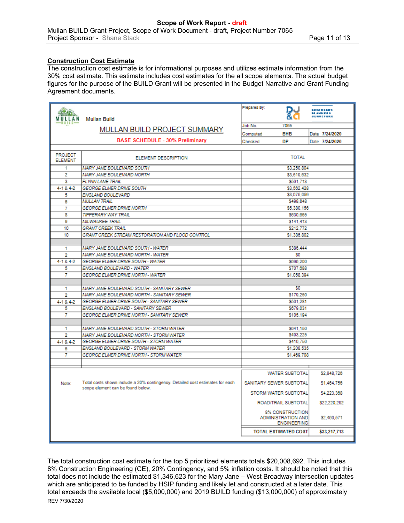# **Construction Cost Estimate**

The construction cost estimate is for informational purposes and utilizes estimate information from the 30% cost estimate. This estimate includes cost estimates for the all scope elements. The actual budget figures for the purpose of the BUILD Grant will be presented in the Budget Narrative and Grant Funding Agreement documents.

|                                  |                                                                               | Prepared By:                                                       | <b>CHOINEERS</b>             |  |  |  |  |
|----------------------------------|-------------------------------------------------------------------------------|--------------------------------------------------------------------|------------------------------|--|--|--|--|
|                                  |                                                                               |                                                                    | <b>PLANNERS</b><br>SUNVETORS |  |  |  |  |
| MULLAN                           | <b>Mullan Build</b>                                                           |                                                                    |                              |  |  |  |  |
|                                  | MULLAN BUILD PROJECT SUMMARY                                                  | 7065<br>Job No.                                                    |                              |  |  |  |  |
|                                  |                                                                               | <b>BHB</b><br>Computed                                             | Date 7/24/2020               |  |  |  |  |
|                                  | <b>BASE SCHEDULE - 30% Preliminary</b>                                        | DP<br>Checked                                                      | Date 7/24/2020               |  |  |  |  |
|                                  |                                                                               |                                                                    |                              |  |  |  |  |
| <b>PROJECT</b><br><b>ELEMENT</b> | <b>ELEMENT DESCRIPTION</b>                                                    | <b>TOTAL</b>                                                       |                              |  |  |  |  |
| 1                                | MARY JANE BOULEVARD SOUTH                                                     | \$3,250,804                                                        |                              |  |  |  |  |
| 2                                | MARY JANE BOULEVARD NORTH                                                     | \$3,519,632                                                        |                              |  |  |  |  |
| 3                                | <b>FLYNN LANE TRAIL</b>                                                       | \$561,713                                                          |                              |  |  |  |  |
| 4-1 & 4-2                        | <b>GEORGE ELMER DRIVE SOUTH</b>                                               | \$3.562.428                                                        |                              |  |  |  |  |
| 5                                | ENGLAND BOULEVARD                                                             | \$3,075,059                                                        |                              |  |  |  |  |
| 6                                | <b>MULLAN TRAIL</b>                                                           | \$498.848                                                          |                              |  |  |  |  |
| 7                                | <b>GEORGE ELMER DRIVE NORTH</b>                                               | \$5,380.156                                                        |                              |  |  |  |  |
| 8                                | <b>TIPPERARY WAY TRAIL</b>                                                    | \$630.665                                                          |                              |  |  |  |  |
| g                                | <b>MILWAUKEE TRAIL</b>                                                        | \$141.413                                                          |                              |  |  |  |  |
| 10                               | <b>GRANT CREEK TRAIL</b>                                                      | \$212,772                                                          |                              |  |  |  |  |
| 10                               | GRANT CREEK STREAM RESTORATION AND FLOOD CONTROL                              | \$1,386,802                                                        |                              |  |  |  |  |
|                                  |                                                                               |                                                                    |                              |  |  |  |  |
| 1                                | MARY JANE BOULEVARD SOUTH - WATER                                             | \$386,444                                                          |                              |  |  |  |  |
| $\overline{2}$                   | MARY JANE BOULEVARD NORTH - WATER                                             | S0                                                                 |                              |  |  |  |  |
| 4-1 & 4-2                        | <b>GEORGE ELMER DRIVE SOUTH - WATER</b>                                       | \$696.200                                                          |                              |  |  |  |  |
| 5                                | ENGLAND BOULEVARD - WATER                                                     | \$707.688                                                          |                              |  |  |  |  |
| 7                                | <b>GEORGE ELMER DRIVE NORTH - WATER</b>                                       | \$1,058,394                                                        |                              |  |  |  |  |
|                                  |                                                                               |                                                                    |                              |  |  |  |  |
| 1                                | MARY JANE BOULEVARD SOUTH - SANITARY SEWER                                    | S0                                                                 |                              |  |  |  |  |
| 2                                | MARY JANE BOULEVARD NORTH - SANITARY SEWER                                    | \$179.250                                                          |                              |  |  |  |  |
| 4-1 & 4-2                        | GEORGE ELMER DRIVE SOUTH - SANITARY SEWER                                     | \$501,281                                                          |                              |  |  |  |  |
| 5                                | ENGLAND BOULEVARD - SANITARY SEWER                                            | \$679,031                                                          |                              |  |  |  |  |
| 7                                | GEORGE ELMER DRIVE NORTH - SANITARY SEWER                                     | \$105,194                                                          |                              |  |  |  |  |
|                                  |                                                                               |                                                                    |                              |  |  |  |  |
| 1                                | MARY JANE BOULEVARD SOUTH - STORM WATER                                       | \$641.150                                                          |                              |  |  |  |  |
| 2                                | MARY JANE BOULEVARD NORTH - STORM WATER                                       | \$493.225                                                          |                              |  |  |  |  |
| 4-1 & 4-2                        | GEORGE ELMER DRIVE SOUTH - STORM WATER                                        | \$410,750                                                          |                              |  |  |  |  |
| 5                                | ENGLAND BOULEVARD - STORM WATER                                               | \$1,208,535                                                        |                              |  |  |  |  |
| 7                                | <b>GEORGE ELMER DRIVE NORTH - STORM WATER</b>                                 | \$1,469.708                                                        |                              |  |  |  |  |
|                                  |                                                                               |                                                                    |                              |  |  |  |  |
|                                  |                                                                               | <b>WATER SUBTOTAL</b>                                              | \$2,848,726                  |  |  |  |  |
| Note:                            | Total costs shown include a 20% contingency. Detailed cost estimates for each | SANITARY SEWER SUBTOTAL                                            | \$1,464,756                  |  |  |  |  |
|                                  | scope element can be found below.                                             | STORM WATER SUBTOTAL                                               | \$4,223,368                  |  |  |  |  |
|                                  |                                                                               | ROAD/TRAIL SUBTOTAL                                                | \$22,220,292                 |  |  |  |  |
|                                  |                                                                               | <b>8% CONSTRUCTION</b><br>ADMINISTRATION AND<br><b>ENGINEERING</b> | \$2,460.571                  |  |  |  |  |
|                                  |                                                                               | <b>TOTAL ESTIMATED COST</b>                                        | \$33.217.713                 |  |  |  |  |
|                                  |                                                                               |                                                                    |                              |  |  |  |  |

REV 7/30/2020 The total construction cost estimate for the top 5 prioritized elements totals \$20,008,692. This includes 8% Construction Engineering (CE), 20% Contingency, and 5% inflation costs. It should be noted that this total does not include the estimated \$1,346,623 for the Mary Jane – West Broadway intersection updates which are anticipated to be funded by HSIP funding and likely let and constructed at a later date. This total exceeds the available local (\$5,000,000) and 2019 BUILD funding (\$13,000,000) of approximately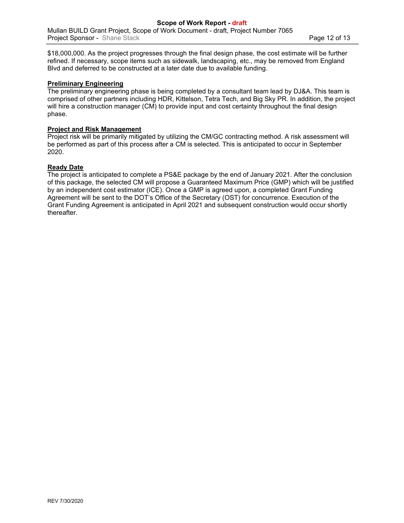\$18,000,000. As the project progresses through the final design phase, the cost estimate will be further refined. If necessary, scope items such as sidewalk, landscaping, etc., may be removed from England Blvd and deferred to be constructed at a later date due to available funding.

## **Preliminary Engineering**

The preliminary engineering phase is being completed by a consultant team lead by DJ&A. This team is comprised of other partners including HDR, Kittelson, Tetra Tech, and Big Sky PR. In addition, the project will hire a construction manager (CM) to provide input and cost certainty throughout the final design phase.

## **Project and Risk Management**

Project risk will be primarily mitigated by utilizing the CM/GC contracting method. A risk assessment will be performed as part of this process after a CM is selected. This is anticipated to occur in September 2020.

#### **Ready Date**

The project is anticipated to complete a PS&E package by the end of January 2021. After the conclusion of this package, the selected CM will propose a Guaranteed Maximum Price (GMP) which will be justified by an independent cost estimator (ICE). Once a GMP is agreed upon, a completed Grant Funding Agreement will be sent to the DOT's Office of the Secretary (OST) for concurrence. Execution of the Grant Funding Agreement is anticipated in April 2021 and subsequent construction would occur shortly thereafter.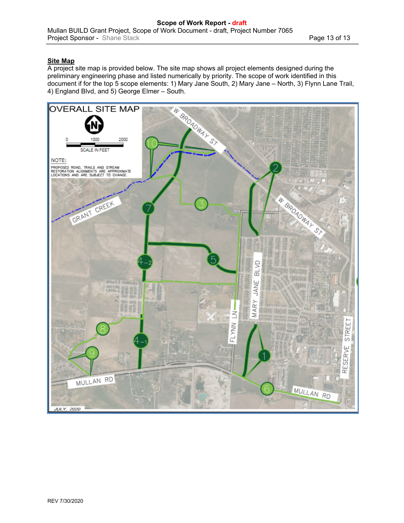## **Site Map**

A project site map is provided below. The site map shows all project elements designed during the preliminary engineering phase and listed numerically by priority. The scope of work identified in this document if for the top 5 scope elements: 1) Mary Jane South, 2) Mary Jane – North, 3) Flynn Lane Trail, 4) England Blvd, and 5) George Elmer – South.